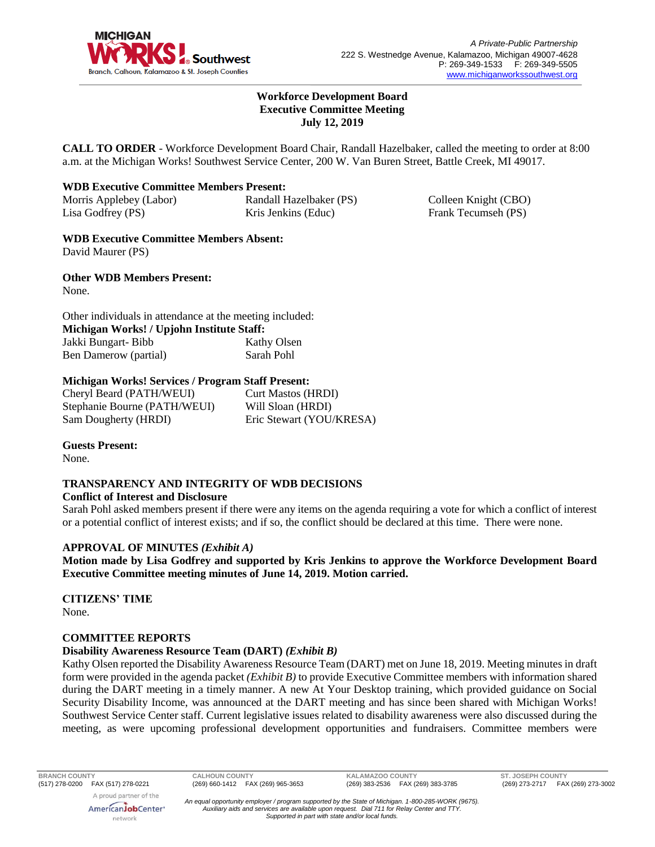

### **Workforce Development Board Executive Committee Meeting July 12, 2019**

**CALL TO ORDER** - Workforce Development Board Chair, Randall Hazelbaker, called the meeting to order at 8:00 a.m. at the Michigan Works! Southwest Service Center, 200 W. Van Buren Street, Battle Creek, MI 49017.

### **WDB Executive Committee Members Present:**

Morris Applebey (Labor) Lisa Godfrey (PS) Randall Hazelbaker (PS) Kris Jenkins (Educ)

Colleen Knight (CBO) Frank Tecumseh (PS)

**WDB Executive Committee Members Absent:** David Maurer (PS)

**Other WDB Members Present:** None.

| Other individuals in attendance at the meeting included: |             |
|----------------------------------------------------------|-------------|
| Michigan Works! / Upjohn Institute Staff:                |             |
| Jakki Bungart-Bibb                                       | Kathy Olsen |
| Ben Damerow (partial)                                    | Sarah Pohl  |

## **Michigan Works! Services / Program Staff Present:**

Cheryl Beard (PATH/WEUI) Stephanie Bourne (PATH/WEUI) Sam Dougherty (HRDI)

Curt Mastos (HRDI) Will Sloan (HRDI) Eric Stewart (YOU/KRESA)

**Guests Present:**

None.

# **TRANSPARENCY AND INTEGRITY OF WDB DECISIONS**

### **Conflict of Interest and Disclosure**

Sarah Pohl asked members present if there were any items on the agenda requiring a vote for which a conflict of interest or a potential conflict of interest exists; and if so, the conflict should be declared at this time. There were none.

### **APPROVAL OF MINUTES** *(Exhibit A)*

**Motion made by Lisa Godfrey and supported by Kris Jenkins to approve the Workforce Development Board Executive Committee meeting minutes of June 14, 2019. Motion carried.** 

**CITIZENS' TIME** None.

### **COMMITTEE REPORTS**

### **Disability Awareness Resource Team (DART)** *(Exhibit B)*

Kathy Olsen reported the Disability Awareness Resource Team (DART) met on June 18, 2019. Meeting minutes in draft form were provided in the agenda packet *(Exhibit B)* to provide Executive Committee members with information shared during the DART meeting in a timely manner. A new At Your Desktop training, which provided guidance on Social Security Disability Income, was announced at the DART meeting and has since been shared with Michigan Works! Southwest Service Center staff. Current legislative issues related to disability awareness were also discussed during the meeting, as were upcoming professional development opportunities and fundraisers. Committee members were

**BRANCH COUNTY CALHOUN COUNTY KALAMAZOO COUNTY ST. JOSEPH COUNTY**

*An equal opportunity employer / program supported by the State of Michigan. 1-800-285-WORK (9675). Auxiliary aids and services are available upon request. Dial 711 for Relay Center and TTY. Supported in part with state and/or local funds.*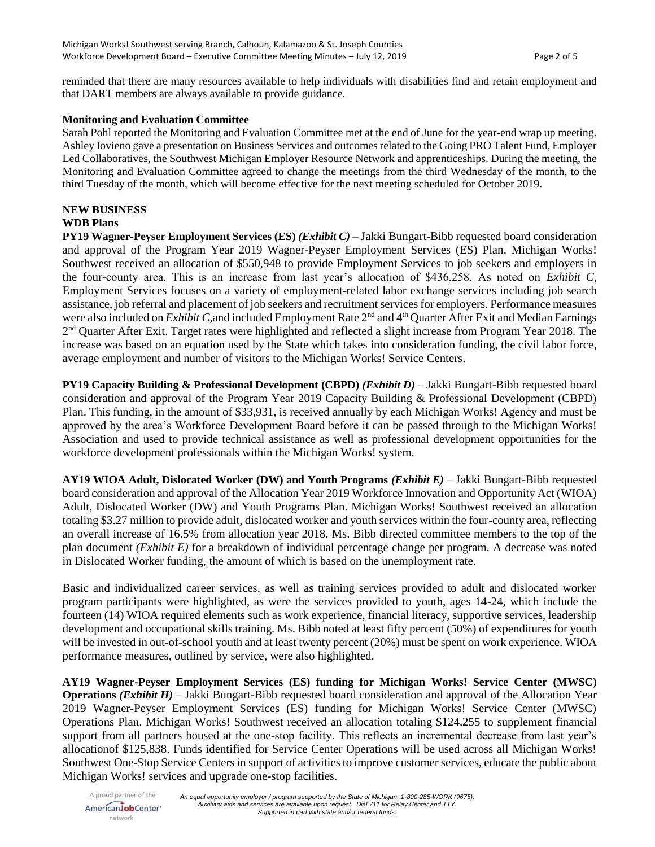reminded that there are many resources available to help individuals with disabilities find and retain employment and that DART members are always available to provide guidance.

## **Monitoring and Evaluation Committee**

Sarah Pohl reported the Monitoring and Evaluation Committee met at the end of June for the year-end wrap up meeting. Ashley Iovieno gave a presentation on Business Services and outcomes related to the Going PRO Talent Fund, Employer Led Collaboratives, the Southwest Michigan Employer Resource Network and apprenticeships. During the meeting, the Monitoring and Evaluation Committee agreed to change the meetings from the third Wednesday of the month, to the third Tuesday of the month, which will become effective for the next meeting scheduled for October 2019.

## **NEW BUSINESS**

## **WDB Plans**

**PY19 Wagner-Peyser Employment Services (ES)** *(Exhibit C)* – Jakki Bungart-Bibb requested board consideration and approval of the Program Year 2019 Wagner-Peyser Employment Services (ES) Plan. Michigan Works! Southwest received an allocation of \$550,948 to provide Employment Services to job seekers and employers in the four-county area. This is an increase from last year's allocation of \$436,258. As noted on *Exhibit C*, Employment Services focuses on a variety of employment-related labor exchange services including job search assistance, job referral and placement of job seekers and recruitment services for employers. Performance measures were also included on *Exhibit C*, and included Employment Rate 2<sup>nd</sup> and 4<sup>th</sup> Quarter After Exit and Median Earnings 2<sup>nd</sup> Quarter After Exit. Target rates were highlighted and reflected a slight increase from Program Year 2018. The increase was based on an equation used by the State which takes into consideration funding, the civil labor force, average employment and number of visitors to the Michigan Works! Service Centers.

**PY19 Capacity Building & Professional Development (CBPD)** *(Exhibit D)* **– Jakki Bungart-Bibb requested board** consideration and approval of the Program Year 2019 Capacity Building & Professional Development (CBPD) Plan. This funding, in the amount of \$33,931, is received annually by each Michigan Works! Agency and must be approved by the area's Workforce Development Board before it can be passed through to the Michigan Works! Association and used to provide technical assistance as well as professional development opportunities for the workforce development professionals within the Michigan Works! system.

**AY19 WIOA Adult, Dislocated Worker (DW) and Youth Programs** *(Exhibit E)* – Jakki Bungart-Bibb requested board consideration and approval of the Allocation Year 2019 Workforce Innovation and Opportunity Act (WIOA) Adult, Dislocated Worker (DW) and Youth Programs Plan. Michigan Works! Southwest received an allocation totaling \$3.27 million to provide adult, dislocated worker and youth services within the four-county area, reflecting an overall increase of 16.5% from allocation year 2018. Ms. Bibb directed committee members to the top of the plan document *(Exhibit E)* for a breakdown of individual percentage change per program. A decrease was noted in Dislocated Worker funding, the amount of which is based on the unemployment rate.

Basic and individualized career services, as well as training services provided to adult and dislocated worker program participants were highlighted, as were the services provided to youth, ages 14-24, which include the fourteen (14) WIOA required elements such as work experience, financial literacy, supportive services, leadership development and occupational skills training. Ms. Bibb noted at least fifty percent (50%) of expenditures for youth will be invested in out-of-school youth and at least twenty percent (20%) must be spent on work experience. WIOA performance measures, outlined by service, were also highlighted.

**AY19 Wagner-Peyser Employment Services (ES) funding for Michigan Works! Service Center (MWSC) Operations** *(Exhibit H)* – Jakki Bungart-Bibb requested board consideration and approval of the Allocation Year 2019 Wagner-Peyser Employment Services (ES) funding for Michigan Works! Service Center (MWSC) Operations Plan. Michigan Works! Southwest received an allocation totaling \$124,255 to supplement financial support from all partners housed at the one-stop facility. This reflects an incremental decrease from last year's allocationof \$125,838. Funds identified for Service Center Operations will be used across all Michigan Works! Southwest One-Stop Service Centers in support of activities to improve customer services, educate the public about Michigan Works! services and upgrade one-stop facilities.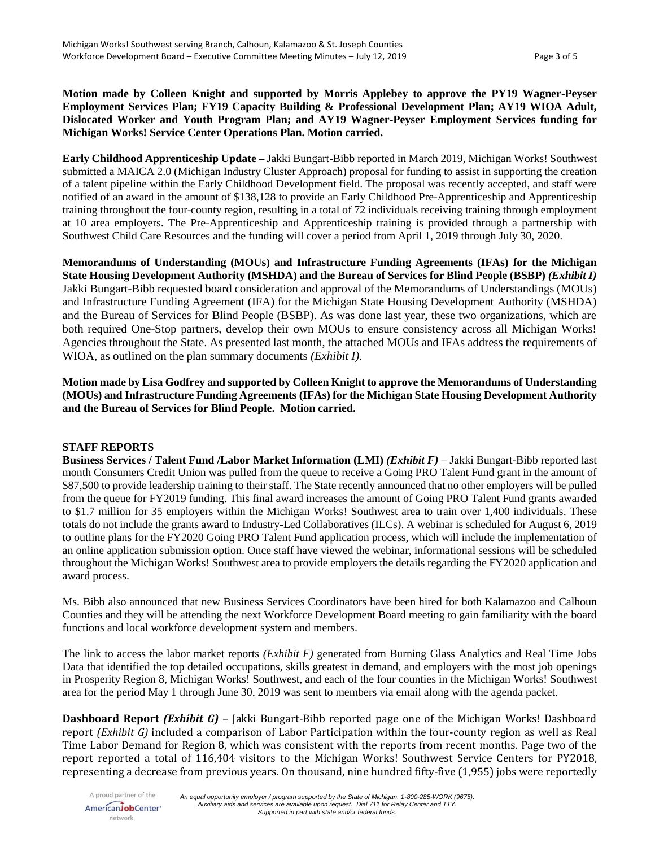**Motion made by Colleen Knight and supported by Morris Applebey to approve the PY19 Wagner-Peyser Employment Services Plan; FY19 Capacity Building & Professional Development Plan; AY19 WIOA Adult, Dislocated Worker and Youth Program Plan; and AY19 Wagner-Peyser Employment Services funding for Michigan Works! Service Center Operations Plan. Motion carried.** 

**Early Childhood Apprenticeship Update –** Jakki Bungart-Bibb reported in March 2019, Michigan Works! Southwest submitted a MAICA 2.0 (Michigan Industry Cluster Approach) proposal for funding to assist in supporting the creation of a talent pipeline within the Early Childhood Development field. The proposal was recently accepted, and staff were notified of an award in the amount of \$138,128 to provide an Early Childhood Pre-Apprenticeship and Apprenticeship training throughout the four-county region, resulting in a total of 72 individuals receiving training through employment at 10 area employers. The Pre-Apprenticeship and Apprenticeship training is provided through a partnership with Southwest Child Care Resources and the funding will cover a period from April 1, 2019 through July 30, 2020.

**Memorandums of Understanding (MOUs) and Infrastructure Funding Agreements (IFAs) for the Michigan State Housing Development Authority (MSHDA) and the Bureau of Services for Blind People (BSBP)** *(Exhibit I)* Jakki Bungart-Bibb requested board consideration and approval of the Memorandums of Understandings (MOUs) and Infrastructure Funding Agreement (IFA) for the Michigan State Housing Development Authority (MSHDA) and the Bureau of Services for Blind People (BSBP). As was done last year, these two organizations, which are both required One-Stop partners, develop their own MOUs to ensure consistency across all Michigan Works! Agencies throughout the State. As presented last month, the attached MOUs and IFAs address the requirements of WIOA, as outlined on the plan summary documents *(Exhibit I).*

**Motion made by Lisa Godfrey and supported by Colleen Knight to approve the Memorandums of Understanding (MOUs) and Infrastructure Funding Agreements (IFAs) for the Michigan State Housing Development Authority and the Bureau of Services for Blind People. Motion carried.** 

### **STAFF REPORTS**

**Business Services / Talent Fund /Labor Market Information (LMI)** *(Exhibit F)* – Jakki Bungart-Bibb reported last month Consumers Credit Union was pulled from the queue to receive a Going PRO Talent Fund grant in the amount of \$87,500 to provide leadership training to their staff. The State recently announced that no other employers will be pulled from the queue for FY2019 funding. This final award increases the amount of Going PRO Talent Fund grants awarded to \$1.7 million for 35 employers within the Michigan Works! Southwest area to train over 1,400 individuals. These totals do not include the grants award to Industry-Led Collaboratives (ILCs). A webinar is scheduled for August 6, 2019 to outline plans for the FY2020 Going PRO Talent Fund application process, which will include the implementation of an online application submission option. Once staff have viewed the webinar, informational sessions will be scheduled throughout the Michigan Works! Southwest area to provide employers the details regarding the FY2020 application and award process.

Ms. Bibb also announced that new Business Services Coordinators have been hired for both Kalamazoo and Calhoun Counties and they will be attending the next Workforce Development Board meeting to gain familiarity with the board functions and local workforce development system and members.

The link to access the labor market reports *(Exhibit F)* generated from Burning Glass Analytics and Real Time Jobs Data that identified the top detailed occupations, skills greatest in demand, and employers with the most job openings in Prosperity Region 8, Michigan Works! Southwest, and each of the four counties in the Michigan Works! Southwest area for the period May 1 through June 30, 2019 was sent to members via email along with the agenda packet.

**Dashboard Report** *(Exhibit G)* – Jakki Bungart-Bibb reported page one of the Michigan Works! Dashboard report *(Exhibit G)* included a comparison of Labor Participation within the four-county region as well as Real Time Labor Demand for Region 8, which was consistent with the reports from recent months. Page two of the report reported a total of 116,404 visitors to the Michigan Works! Southwest Service Centers for PY2018, representing a decrease from previous years. On thousand, nine hundred fifty-five (1,955) jobs were reportedly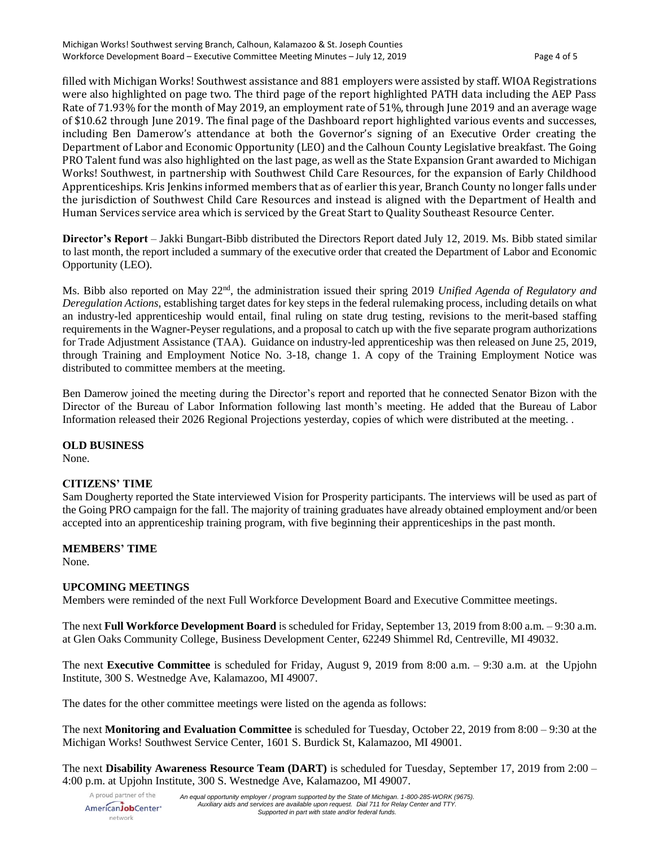filled with Michigan Works! Southwest assistance and 881 employers were assisted by staff. WIOA Registrations were also highlighted on page two. The third page of the report highlighted PATH data including the AEP Pass Rate of 71.93% for the month of May 2019, an employment rate of 51%, through June 2019 and an average wage of \$10.62 through June 2019. The final page of the Dashboard report highlighted various events and successes, including Ben Damerow's attendance at both the Governor's signing of an Executive Order creating the Department of Labor and Economic Opportunity (LEO) and the Calhoun County Legislative breakfast. The Going PRO Talent fund was also highlighted on the last page, as well as the State Expansion Grant awarded to Michigan Works! Southwest, in partnership with Southwest Child Care Resources, for the expansion of Early Childhood Apprenticeships. Kris Jenkins informed members that as of earlier this year, Branch County no longer falls under the jurisdiction of Southwest Child Care Resources and instead is aligned with the Department of Health and Human Services service area which is serviced by the Great Start to Quality Southeast Resource Center.

**Director's Report** – Jakki Bungart-Bibb distributed the Directors Report dated July 12, 2019. Ms. Bibb stated similar to last month, the report included a summary of the executive order that created the Department of Labor and Economic Opportunity (LEO).

Ms. Bibb also reported on May 22nd, the administration issued their spring 2019 *Unified Agenda of Regulatory and Deregulation Actions*, establishing target dates for key steps in the federal rulemaking process, including details on what an industry-led apprenticeship would entail, final ruling on state drug testing, revisions to the merit-based staffing requirements in the Wagner-Peyser regulations, and a proposal to catch up with the five separate program authorizations for Trade Adjustment Assistance (TAA). Guidance on industry-led apprenticeship was then released on June 25, 2019, through Training and Employment Notice No. 3-18, change 1. A copy of the Training Employment Notice was distributed to committee members at the meeting.

Ben Damerow joined the meeting during the Director's report and reported that he connected Senator Bizon with the Director of the Bureau of Labor Information following last month's meeting. He added that the Bureau of Labor Information released their 2026 Regional Projections yesterday, copies of which were distributed at the meeting. .

### **OLD BUSINESS**

None.

## **CITIZENS' TIME**

Sam Dougherty reported the State interviewed Vision for Prosperity participants. The interviews will be used as part of the Going PRO campaign for the fall. The majority of training graduates have already obtained employment and/or been accepted into an apprenticeship training program, with five beginning their apprenticeships in the past month.

### **MEMBERS' TIME**

None.

### **UPCOMING MEETINGS**

Members were reminded of the next Full Workforce Development Board and Executive Committee meetings.

The next **Full Workforce Development Board** is scheduled for Friday, September 13, 2019 from 8:00 a.m. – 9:30 a.m. at Glen Oaks Community College, Business Development Center, 62249 Shimmel Rd, Centreville, MI 49032.

The next **Executive Committee** is scheduled for Friday, August 9, 2019 from 8:00 a.m. – 9:30 a.m. at the Upjohn Institute, 300 S. Westnedge Ave, Kalamazoo, MI 49007.

The dates for the other committee meetings were listed on the agenda as follows:

The next **Monitoring and Evaluation Committee** is scheduled for Tuesday, October 22, 2019 from 8:00 – 9:30 at the Michigan Works! Southwest Service Center, 1601 S. Burdick St, Kalamazoo, MI 49001.

The next **Disability Awareness Resource Team (DART)** is scheduled for Tuesday, September 17, 2019 from 2:00 – 4:00 p.m. at Upjohn Institute, 300 S. Westnedge Ave, Kalamazoo, MI 49007.